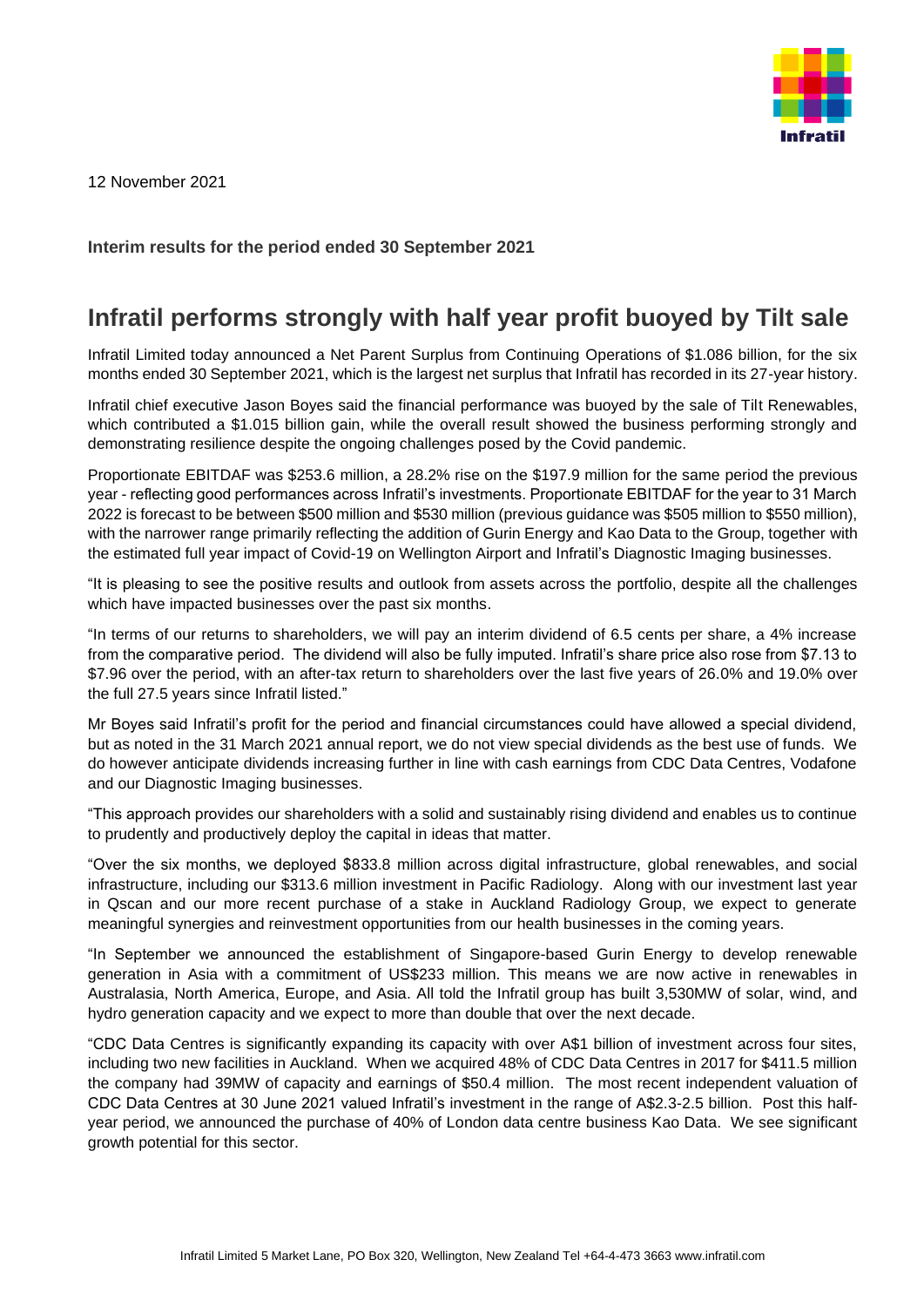

12 November 2021

## **Interim results for the period ended 30 September 2021**

## **Infratil performs strongly with half year profit buoyed by Tilt sale**

Infratil Limited today announced a Net Parent Surplus from Continuing Operations of \$1.086 billion, for the six months ended 30 September 2021, which is the largest net surplus that Infratil has recorded in its 27-year history.

Infratil chief executive Jason Boyes said the financial performance was buoyed by the sale of Tilt Renewables, which contributed a \$1.015 billion gain, while the overall result showed the business performing strongly and demonstrating resilience despite the ongoing challenges posed by the Covid pandemic.

Proportionate EBITDAF was \$253.6 million, a 28.2% rise on the \$197.9 million for the same period the previous year - reflecting good performances across Infratil's investments. Proportionate EBITDAF for the year to 31 March 2022 is forecast to be between \$500 million and \$530 million (previous guidance was \$505 million to \$550 million), with the narrower range primarily reflecting the addition of Gurin Energy and Kao Data to the Group, together with the estimated full year impact of Covid-19 on Wellington Airport and Infratil's Diagnostic Imaging businesses.

"It is pleasing to see the positive results and outlook from assets across the portfolio, despite all the challenges which have impacted businesses over the past six months.

"In terms of our returns to shareholders, we will pay an interim dividend of 6.5 cents per share, a 4% increase from the comparative period. The dividend will also be fully imputed. Infratil's share price also rose from \$7.13 to \$7.96 over the period, with an after-tax return to shareholders over the last five years of 26.0% and 19.0% over the full 27.5 years since Infratil listed."

Mr Boyes said Infratil's profit for the period and financial circumstances could have allowed a special dividend, but as noted in the 31 March 2021 annual report, we do not view special dividends as the best use of funds. We do however anticipate dividends increasing further in line with cash earnings from CDC Data Centres, Vodafone and our Diagnostic Imaging businesses.

"This approach provides our shareholders with a solid and sustainably rising dividend and enables us to continue to prudently and productively deploy the capital in ideas that matter.

"Over the six months, we deployed \$833.8 million across digital infrastructure, global renewables, and social infrastructure, including our \$313.6 million investment in Pacific Radiology. Along with our investment last year in Qscan and our more recent purchase of a stake in Auckland Radiology Group, we expect to generate meaningful synergies and reinvestment opportunities from our health businesses in the coming years.

"In September we announced the establishment of Singapore-based Gurin Energy to develop renewable generation in Asia with a commitment of US\$233 million. This means we are now active in renewables in Australasia, North America, Europe, and Asia. All told the Infratil group has built 3,530MW of solar, wind, and hydro generation capacity and we expect to more than double that over the next decade.

"CDC Data Centres is significantly expanding its capacity with over A\$1 billion of investment across four sites, including two new facilities in Auckland. When we acquired 48% of CDC Data Centres in 2017 for \$411.5 million the company had 39MW of capacity and earnings of \$50.4 million. The most recent independent valuation of CDC Data Centres at 30 June 2021 valued Infratil's investment in the range of A\$2.3-2.5 billion. Post this halfyear period, we announced the purchase of 40% of London data centre business Kao Data. We see significant growth potential for this sector.